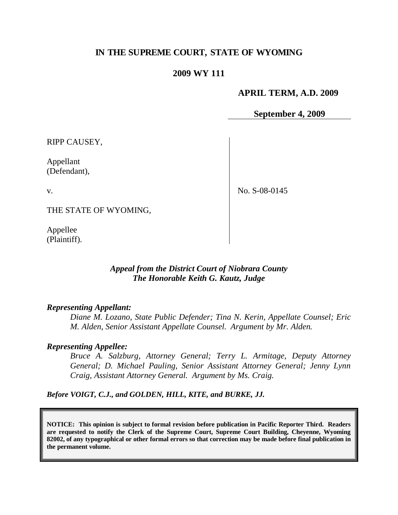## **IN THE SUPREME COURT, STATE OF WYOMING**

### **2009 WY 111**

#### **APRIL TERM, A.D. 2009**

**September 4, 2009**

RIPP CAUSEY,

Appellant (Defendant),

v.

No. S-08-0145

THE STATE OF WYOMING,

Appellee (Plaintiff).

### *Appeal from the District Court of Niobrara County The Honorable Keith G. Kautz, Judge*

#### *Representing Appellant:*

*Diane M. Lozano, State Public Defender; Tina N. Kerin, Appellate Counsel; Eric M. Alden, Senior Assistant Appellate Counsel. Argument by Mr. Alden.*

#### *Representing Appellee:*

*Bruce A. Salzburg, Attorney General; Terry L. Armitage, Deputy Attorney General; D. Michael Pauling, Senior Assistant Attorney General; Jenny Lynn Craig, Assistant Attorney General. Argument by Ms. Craig.*

*Before VOIGT, C.J., and GOLDEN, HILL, KITE, and BURKE, JJ.*

**NOTICE: This opinion is subject to formal revision before publication in Pacific Reporter Third. Readers are requested to notify the Clerk of the Supreme Court, Supreme Court Building, Cheyenne, Wyoming 82002, of any typographical or other formal errors so that correction may be made before final publication in the permanent volume.**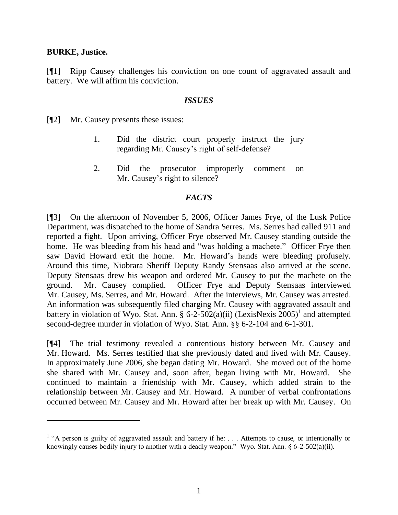#### **BURKE, Justice.**

 $\overline{a}$ 

[¶1] Ripp Causey challenges his conviction on one count of aggravated assault and battery. We will affirm his conviction.

#### *ISSUES*

[¶2] Mr. Causey presents these issues:

- 1. Did the district court properly instruct the jury regarding Mr. Causey's right of self-defense?
- 2. Did the prosecutor improperly comment on Mr. Causey's right to silence?

#### *FACTS*

[¶3] On the afternoon of November 5, 2006, Officer James Frye, of the Lusk Police Department, was dispatched to the home of Sandra Serres. Ms. Serres had called 911 and reported a fight. Upon arriving, Officer Frye observed Mr. Causey standing outside the home. He was bleeding from his head and "was holding a machete." Officer Frye then saw David Howard exit the home. Mr. Howard's hands were bleeding profusely. Around this time, Niobrara Sheriff Deputy Randy Stensaas also arrived at the scene. Deputy Stensaas drew his weapon and ordered Mr. Causey to put the machete on the ground. Mr. Causey complied. Officer Frye and Deputy Stensaas interviewed Mr. Causey, Ms. Serres, and Mr. Howard. After the interviews, Mr. Causey was arrested. An information was subsequently filed charging Mr. Causey with aggravated assault and battery in violation of Wyo. Stat. Ann. § 6-2-502(a)(ii) (LexisNexis  $2005$ )<sup>1</sup> and attempted second-degree murder in violation of Wyo. Stat. Ann. §§ 6-2-104 and 6-1-301.

[¶4] The trial testimony revealed a contentious history between Mr. Causey and Mr. Howard. Ms. Serres testified that she previously dated and lived with Mr. Causey. In approximately June 2006, she began dating Mr. Howard. She moved out of the home she shared with Mr. Causey and, soon after, began living with Mr. Howard. She continued to maintain a friendship with Mr. Causey, which added strain to the relationship between Mr. Causey and Mr. Howard. A number of verbal confrontations occurred between Mr. Causey and Mr. Howard after her break up with Mr. Causey. On

<sup>&</sup>lt;sup>1</sup> "A person is guilty of aggravated assault and battery if he: . . . Attempts to cause, or intentionally or knowingly causes bodily injury to another with a deadly weapon." Wyo. Stat. Ann. § 6-2-502(a)(ii).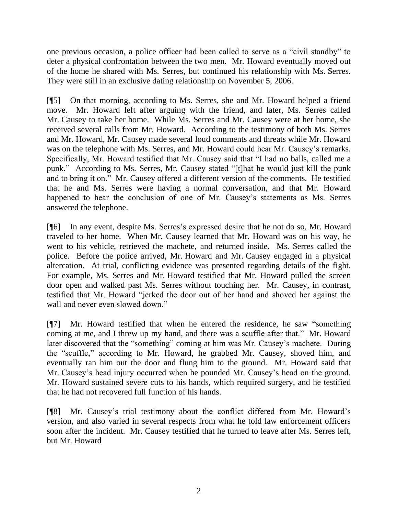one previous occasion, a police officer had been called to serve as a "civil standby" to deter a physical confrontation between the two men. Mr. Howard eventually moved out of the home he shared with Ms. Serres, but continued his relationship with Ms. Serres. They were still in an exclusive dating relationship on November 5, 2006.

[¶5] On that morning, according to Ms. Serres, she and Mr. Howard helped a friend move. Mr. Howard left after arguing with the friend, and later, Ms. Serres called Mr. Causey to take her home. While Ms. Serres and Mr. Causey were at her home, she received several calls from Mr. Howard. According to the testimony of both Ms. Serres and Mr. Howard, Mr. Causey made several loud comments and threats while Mr. Howard was on the telephone with Ms. Serres, and Mr. Howard could hear Mr. Causey's remarks. Specifically, Mr. Howard testified that Mr. Causey said that "I had no balls, called me a punk." According to Ms. Serres, Mr. Causey stated "[t]hat he would just kill the punk and to bring it on." Mr. Causey offered a different version of the comments. He testified that he and Ms. Serres were having a normal conversation, and that Mr. Howard happened to hear the conclusion of one of Mr. Causey's statements as Ms. Serres answered the telephone.

[¶6] In any event, despite Ms. Serres's expressed desire that he not do so, Mr. Howard traveled to her home. When Mr. Causey learned that Mr. Howard was on his way, he went to his vehicle, retrieved the machete, and returned inside. Ms. Serres called the police. Before the police arrived, Mr. Howard and Mr. Causey engaged in a physical altercation. At trial, conflicting evidence was presented regarding details of the fight. For example, Ms. Serres and Mr. Howard testified that Mr. Howard pulled the screen door open and walked past Ms. Serres without touching her. Mr. Causey, in contrast, testified that Mr. Howard "jerked the door out of her hand and shoved her against the wall and never even slowed down."

[¶7] Mr. Howard testified that when he entered the residence, he saw "something coming at me, and I threw up my hand, and there was a scuffle after that." Mr. Howard later discovered that the "something" coming at him was Mr. Causey's machete. During the "scuffle," according to Mr. Howard, he grabbed Mr. Causey, shoved him, and eventually ran him out the door and flung him to the ground. Mr. Howard said that Mr. Causey's head injury occurred when he pounded Mr. Causey's head on the ground. Mr. Howard sustained severe cuts to his hands, which required surgery, and he testified that he had not recovered full function of his hands.

[¶8] Mr. Causey's trial testimony about the conflict differed from Mr. Howard's version, and also varied in several respects from what he told law enforcement officers soon after the incident. Mr. Causey testified that he turned to leave after Ms. Serres left, but Mr. Howard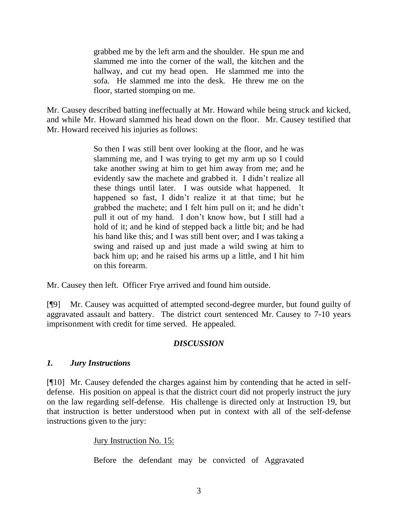grabbed me by the left arm and the shoulder. He spun me and slammed me into the corner of the wall, the kitchen and the hallway, and cut my head open. He slammed me into the sofa. He slammed me into the desk. He threw me on the floor, started stomping on me.

Mr. Causey described batting ineffectually at Mr. Howard while being struck and kicked, and while Mr. Howard slammed his head down on the floor. Mr. Causey testified that Mr. Howard received his injuries as follows:

> So then I was still bent over looking at the floor, and he was slamming me, and I was trying to get my arm up so I could take another swing at him to get him away from me; and he evidently saw the machete and grabbed it. I didn't realize all these things until later. I was outside what happened. It happened so fast, I didn't realize it at that time; but he grabbed the machete; and I felt him pull on it; and he didn't pull it out of my hand. I don't know how, but I still had a hold of it; and he kind of stepped back a little bit; and he had his hand like this; and I was still bent over; and I was taking a swing and raised up and just made a wild swing at him to back him up; and he raised his arms up a little, and I hit him on this forearm.

Mr. Causey then left. Officer Frye arrived and found him outside.

[¶9] Mr. Causey was acquitted of attempted second-degree murder, but found guilty of aggravated assault and battery. The district court sentenced Mr. Causey to 7-10 years imprisonment with credit for time served. He appealed.

## *DISCUSSION*

# *1. Jury Instructions*

[¶10] Mr. Causey defended the charges against him by contending that he acted in selfdefense. His position on appeal is that the district court did not properly instruct the jury on the law regarding self-defense. His challenge is directed only at Instruction 19, but that instruction is better understood when put in context with all of the self-defense instructions given to the jury:

# Jury Instruction No. 15:

Before the defendant may be convicted of Aggravated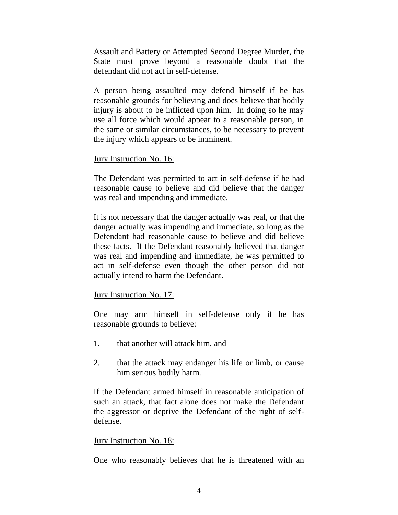Assault and Battery or Attempted Second Degree Murder, the State must prove beyond a reasonable doubt that the defendant did not act in self-defense.

A person being assaulted may defend himself if he has reasonable grounds for believing and does believe that bodily injury is about to be inflicted upon him. In doing so he may use all force which would appear to a reasonable person, in the same or similar circumstances, to be necessary to prevent the injury which appears to be imminent.

### Jury Instruction No. 16:

The Defendant was permitted to act in self-defense if he had reasonable cause to believe and did believe that the danger was real and impending and immediate.

It is not necessary that the danger actually was real, or that the danger actually was impending and immediate, so long as the Defendant had reasonable cause to believe and did believe these facts. If the Defendant reasonably believed that danger was real and impending and immediate, he was permitted to act in self-defense even though the other person did not actually intend to harm the Defendant.

## Jury Instruction No. 17:

One may arm himself in self-defense only if he has reasonable grounds to believe:

- 1. that another will attack him, and
- 2. that the attack may endanger his life or limb, or cause him serious bodily harm.

If the Defendant armed himself in reasonable anticipation of such an attack, that fact alone does not make the Defendant the aggressor or deprive the Defendant of the right of selfdefense.

## Jury Instruction No. 18:

One who reasonably believes that he is threatened with an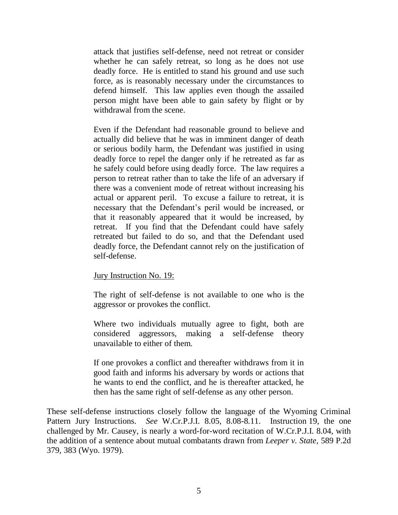attack that justifies self-defense, need not retreat or consider whether he can safely retreat, so long as he does not use deadly force. He is entitled to stand his ground and use such force, as is reasonably necessary under the circumstances to defend himself. This law applies even though the assailed person might have been able to gain safety by flight or by withdrawal from the scene.

Even if the Defendant had reasonable ground to believe and actually did believe that he was in imminent danger of death or serious bodily harm, the Defendant was justified in using deadly force to repel the danger only if he retreated as far as he safely could before using deadly force. The law requires a person to retreat rather than to take the life of an adversary if there was a convenient mode of retreat without increasing his actual or apparent peril. To excuse a failure to retreat, it is necessary that the Defendant's peril would be increased, or that it reasonably appeared that it would be increased, by retreat. If you find that the Defendant could have safely retreated but failed to do so, and that the Defendant used deadly force, the Defendant cannot rely on the justification of self-defense.

Jury Instruction No. 19:

The right of self-defense is not available to one who is the aggressor or provokes the conflict.

Where two individuals mutually agree to fight, both are considered aggressors, making a self-defense theory unavailable to either of them.

If one provokes a conflict and thereafter withdraws from it in good faith and informs his adversary by words or actions that he wants to end the conflict, and he is thereafter attacked, he then has the same right of self-defense as any other person.

These self-defense instructions closely follow the language of the Wyoming Criminal Pattern Jury Instructions. *See* W.Cr.P.J.I. 8.05, 8.08-8.11. Instruction 19, the one challenged by Mr. Causey, is nearly a word-for-word recitation of W.Cr.P.J.I. 8.04, with the addition of a sentence about mutual combatants drawn from *Leeper v. State*, 589 P.2d 379, 383 (Wyo. 1979).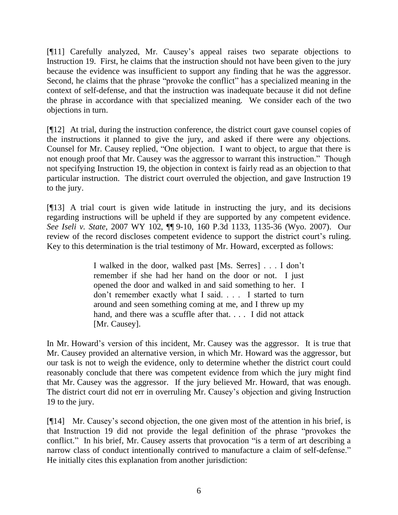[¶11] Carefully analyzed, Mr. Causey's appeal raises two separate objections to Instruction 19. First, he claims that the instruction should not have been given to the jury because the evidence was insufficient to support any finding that he was the aggressor. Second, he claims that the phrase "provoke the conflict" has a specialized meaning in the context of self-defense, and that the instruction was inadequate because it did not define the phrase in accordance with that specialized meaning. We consider each of the two objections in turn.

[¶12] At trial, during the instruction conference, the district court gave counsel copies of the instructions it planned to give the jury, and asked if there were any objections. Counsel for Mr. Causey replied, "One objection. I want to object, to argue that there is not enough proof that Mr. Causey was the aggressor to warrant this instruction." Though not specifying Instruction 19, the objection in context is fairly read as an objection to that particular instruction. The district court overruled the objection, and gave Instruction 19 to the jury.

[¶13] A trial court is given wide latitude in instructing the jury, and its decisions regarding instructions will be upheld if they are supported by any competent evidence. *See Iseli v. State*, 2007 WY 102, ¶¶ 9-10, 160 P.3d 1133, 1135-36 (Wyo. 2007). Our review of the record discloses competent evidence to support the district court's ruling. Key to this determination is the trial testimony of Mr. Howard, excerpted as follows:

> I walked in the door, walked past [Ms. Serres] . . . I don't remember if she had her hand on the door or not. I just opened the door and walked in and said something to her. I don't remember exactly what I said. . . . I started to turn around and seen something coming at me, and I threw up my hand, and there was a scuffle after that. . . . I did not attack [Mr. Causey].

In Mr. Howard's version of this incident, Mr. Causey was the aggressor. It is true that Mr. Causey provided an alternative version, in which Mr. Howard was the aggressor, but our task is not to weigh the evidence, only to determine whether the district court could reasonably conclude that there was competent evidence from which the jury might find that Mr. Causey was the aggressor. If the jury believed Mr. Howard, that was enough. The district court did not err in overruling Mr. Causey's objection and giving Instruction 19 to the jury.

[¶14] Mr. Causey's second objection, the one given most of the attention in his brief, is that Instruction 19 did not provide the legal definition of the phrase "provokes the conflict." In his brief, Mr. Causey asserts that provocation "is a term of art describing a narrow class of conduct intentionally contrived to manufacture a claim of self-defense." He initially cites this explanation from another jurisdiction: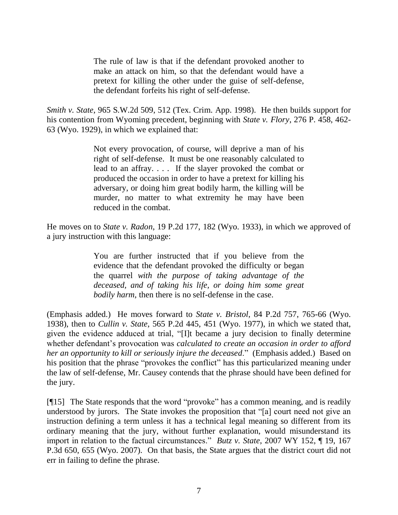The rule of law is that if the defendant provoked another to make an attack on him, so that the defendant would have a pretext for killing the other under the guise of self-defense, the defendant forfeits his right of self-defense.

*Smith v. State*, 965 S.W.2d 509, 512 (Tex. Crim. App. 1998). He then builds support for his contention from Wyoming precedent, beginning with *State v. Flory*, 276 P. 458, 462- 63 (Wyo. 1929), in which we explained that:

> Not every provocation, of course, will deprive a man of his right of self-defense. It must be one reasonably calculated to lead to an affray. . . . If the slayer provoked the combat or produced the occasion in order to have a pretext for killing his adversary, or doing him great bodily harm, the killing will be murder, no matter to what extremity he may have been reduced in the combat.

He moves on to *State v. Radon*, 19 P.2d 177, 182 (Wyo. 1933), in which we approved of a jury instruction with this language:

> You are further instructed that if you believe from the evidence that the defendant provoked the difficulty or began the quarrel *with the purpose of taking advantage of the deceased, and of taking his life, or doing him some great bodily harm*, then there is no self-defense in the case.

(Emphasis added.) He moves forward to *State v. Bristol*, 84 P.2d 757, 765-66 (Wyo. 1938), then to *Cullin v. State*, 565 P.2d 445, 451 (Wyo. 1977), in which we stated that, given the evidence adduced at trial, "[I]t became a jury decision to finally determine whether defendant's provocation was *calculated to create an occasion in order to afford her an opportunity to kill or seriously injure the deceased*." (Emphasis added.) Based on his position that the phrase "provokes the conflict" has this particularized meaning under the law of self-defense, Mr. Causey contends that the phrase should have been defined for the jury.

[¶15] The State responds that the word "provoke" has a common meaning, and is readily understood by jurors. The State invokes the proposition that "[a] court need not give an instruction defining a term unless it has a technical legal meaning so different from its ordinary meaning that the jury, without further explanation, would misunderstand its import in relation to the factual circumstances." *Butz v. State*, 2007 WY 152, ¶ 19, 167 P.3d 650, 655 (Wyo. 2007). On that basis, the State argues that the district court did not err in failing to define the phrase.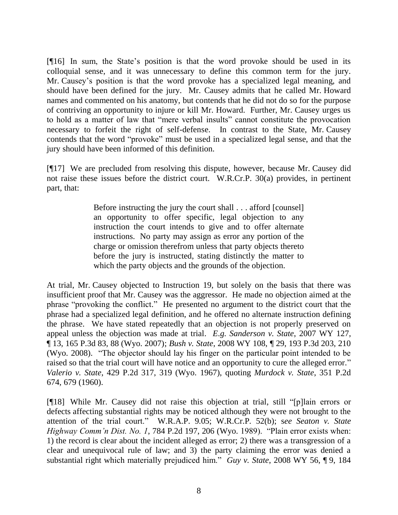[¶16] In sum, the State's position is that the word provoke should be used in its colloquial sense, and it was unnecessary to define this common term for the jury. Mr. Causey's position is that the word provoke has a specialized legal meaning, and should have been defined for the jury. Mr. Causey admits that he called Mr. Howard names and commented on his anatomy, but contends that he did not do so for the purpose of contriving an opportunity to injure or kill Mr. Howard. Further, Mr. Causey urges us to hold as a matter of law that "mere verbal insults" cannot constitute the provocation necessary to forfeit the right of self-defense. In contrast to the State, Mr. Causey contends that the word "provoke" must be used in a specialized legal sense, and that the jury should have been informed of this definition.

[¶17] We are precluded from resolving this dispute, however, because Mr. Causey did not raise these issues before the district court. W.R.Cr.P. 30(a) provides, in pertinent part, that:

> Before instructing the jury the court shall . . . afford [counsel] an opportunity to offer specific, legal objection to any instruction the court intends to give and to offer alternate instructions. No party may assign as error any portion of the charge or omission therefrom unless that party objects thereto before the jury is instructed, stating distinctly the matter to which the party objects and the grounds of the objection.

At trial, Mr. Causey objected to Instruction 19, but solely on the basis that there was insufficient proof that Mr. Causey was the aggressor. He made no objection aimed at the phrase "provoking the conflict." He presented no argument to the district court that the phrase had a specialized legal definition, and he offered no alternate instruction defining the phrase. We have stated repeatedly that an objection is not properly preserved on appeal unless the objection was made at trial. *E*.*g*. *Sanderson v. State*, 2007 WY 127, ¶ 13, 165 P.3d 83, 88 (Wyo. 2007); *Bush v. State*, 2008 WY 108, ¶ 29, 193 P.3d 203, 210 (Wyo. 2008). "The objector should lay his finger on the particular point intended to be raised so that the trial court will have notice and an opportunity to cure the alleged error." *Valerio v. State*, 429 P.2d 317, 319 (Wyo. 1967), quoting *Murdock v. State*, 351 P.2d 674, 679 (1960).

[¶18] While Mr. Causey did not raise this objection at trial, still "[p]lain errors or defects affecting substantial rights may be noticed although they were not brought to the attention of the trial court." W.R.A.P. 9.05; W.R.Cr.P. 52(b); s*ee Seaton v. State Highway Comm'n Dist. No. 1*, 784 P.2d 197, 206 (Wyo. 1989). "Plain error exists when: 1) the record is clear about the incident alleged as error; 2) there was a transgression of a clear and unequivocal rule of law; and 3) the party claiming the error was denied a substantial right which materially prejudiced him." *Guy v. State*, 2008 WY 56, ¶ 9, 184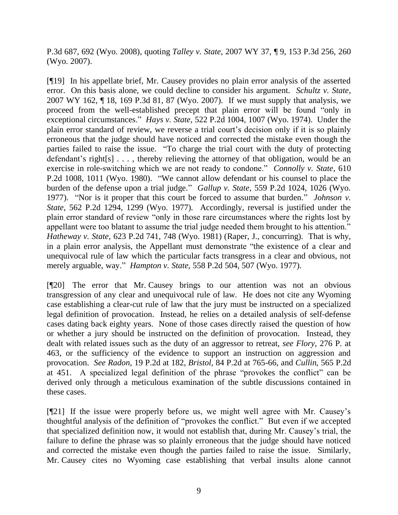P.3d 687, 692 (Wyo. 2008), quoting *Talley v. State*, 2007 WY 37, ¶ 9, 153 P.3d 256, 260 (Wyo. 2007).

[¶19] In his appellate brief, Mr. Causey provides no plain error analysis of the asserted error. On this basis alone, we could decline to consider his argument. *Schultz v. State*, 2007 WY 162, ¶ 18, 169 P.3d 81, 87 (Wyo. 2007). If we must supply that analysis, we proceed from the well-established precept that plain error will be found "only in exceptional circumstances." *Hays v. State*, 522 P.2d 1004, 1007 (Wyo. 1974). Under the plain error standard of review, we reverse a trial court's decision only if it is so plainly erroneous that the judge should have noticed and corrected the mistake even though the parties failed to raise the issue. "To charge the trial court with the duty of protecting defendant's right[s] . . . , thereby relieving the attorney of that obligation, would be an exercise in role-switching which we are not ready to condone." *Connolly v. State*, 610 P.2d 1008, 1011 (Wyo. 1980). "We cannot allow defendant or his counsel to place the burden of the defense upon a trial judge." *Gallup v. State*, 559 P.2d 1024, 1026 (Wyo. 1977). "Nor is it proper that this court be forced to assume that burden." *Johnson v. State*, 562 P.2d 1294, 1299 (Wyo. 1977). Accordingly, reversal is justified under the plain error standard of review "only in those rare circumstances where the rights lost by appellant were too blatant to assume the trial judge needed them brought to his attention." *Hatheway v. State*, 623 P.2d 741, 748 (Wyo. 1981) (Raper, J., concurring). That is why, in a plain error analysis, the Appellant must demonstrate "the existence of a clear and unequivocal rule of law which the particular facts transgress in a clear and obvious, not merely arguable, way." *Hampton v. State*, 558 P.2d 504, 507 (Wyo. 1977).

[¶20] The error that Mr. Causey brings to our attention was not an obvious transgression of any clear and unequivocal rule of law. He does not cite any Wyoming case establishing a clear-cut rule of law that the jury must be instructed on a specialized legal definition of provocation. Instead, he relies on a detailed analysis of self-defense cases dating back eighty years. None of those cases directly raised the question of how or whether a jury should be instructed on the definition of provocation. Instead, they dealt with related issues such as the duty of an aggressor to retreat, *see Flory*, 276 P. at 463, or the sufficiency of the evidence to support an instruction on aggression and provocation. *See Radon*, 19 P.2d at 182, *Bristol*, 84 P.2d at 765-66, and *Cullin*, 565 P.2d at 451. A specialized legal definition of the phrase "provokes the conflict" can be derived only through a meticulous examination of the subtle discussions contained in these cases.

[¶21] If the issue were properly before us, we might well agree with Mr. Causey's thoughtful analysis of the definition of "provokes the conflict." But even if we accepted that specialized definition now, it would not establish that, during Mr. Causey's trial, the failure to define the phrase was so plainly erroneous that the judge should have noticed and corrected the mistake even though the parties failed to raise the issue. Similarly, Mr. Causey cites no Wyoming case establishing that verbal insults alone cannot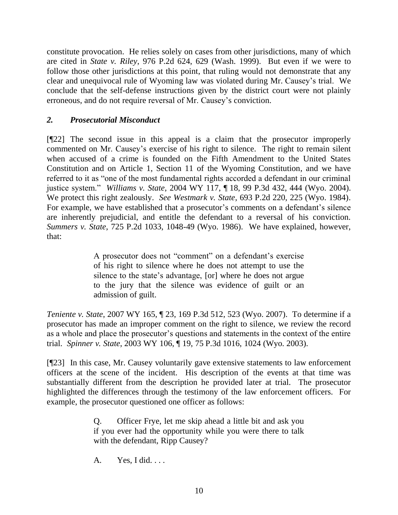constitute provocation. He relies solely on cases from other jurisdictions, many of which are cited in *State v. Riley*, 976 P.2d 624, 629 (Wash. 1999). But even if we were to follow those other jurisdictions at this point, that ruling would not demonstrate that any clear and unequivocal rule of Wyoming law was violated during Mr. Causey's trial. We conclude that the self-defense instructions given by the district court were not plainly erroneous, and do not require reversal of Mr. Causey's conviction.

# *2. Prosecutorial Misconduct*

[¶22] The second issue in this appeal is a claim that the prosecutor improperly commented on Mr. Causey's exercise of his right to silence. The right to remain silent when accused of a crime is founded on the Fifth Amendment to the United States Constitution and on Article 1, Section 11 of the Wyoming Constitution, and we have referred to it as "one of the most fundamental rights accorded a defendant in our criminal justice system." *Williams v. State*, 2004 WY 117, ¶ 18, 99 P.3d 432, 444 (Wyo. 2004). We protect this right zealously. *See Westmark v. State*, 693 P.2d 220, 225 (Wyo. 1984). For example, we have established that a prosecutor's comments on a defendant's silence are inherently prejudicial, and entitle the defendant to a reversal of his conviction. *Summers v. State*, 725 P.2d 1033, 1048-49 (Wyo. 1986). We have explained, however, that:

> A prosecutor does not "comment" on a defendant's exercise of his right to silence where he does not attempt to use the silence to the state's advantage, [or] where he does not argue to the jury that the silence was evidence of guilt or an admission of guilt.

*Teniente v. State*, 2007 WY 165, ¶ 23, 169 P.3d 512, 523 (Wyo. 2007). To determine if a prosecutor has made an improper comment on the right to silence, we review the record as a whole and place the prosecutor's questions and statements in the context of the entire trial. *Spinner v. State*, 2003 WY 106, ¶ 19, 75 P.3d 1016, 1024 (Wyo. 2003).

[¶23] In this case, Mr. Causey voluntarily gave extensive statements to law enforcement officers at the scene of the incident. His description of the events at that time was substantially different from the description he provided later at trial. The prosecutor highlighted the differences through the testimony of the law enforcement officers. For example, the prosecutor questioned one officer as follows:

> Q. Officer Frye, let me skip ahead a little bit and ask you if you ever had the opportunity while you were there to talk with the defendant, Ripp Causey?

A. Yes, I did. . . .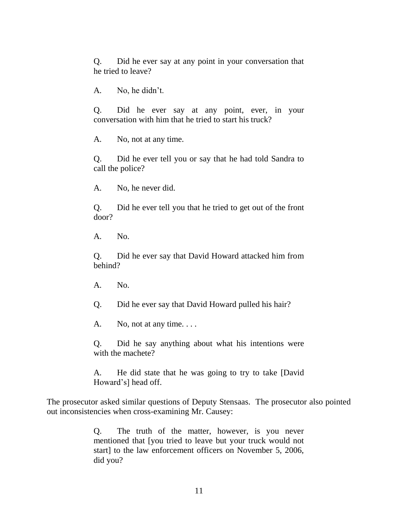Q. Did he ever say at any point in your conversation that he tried to leave?

A. No, he didn't.

Q. Did he ever say at any point, ever, in your conversation with him that he tried to start his truck?

A. No, not at any time.

Q. Did he ever tell you or say that he had told Sandra to call the police?

A. No, he never did.

Q. Did he ever tell you that he tried to get out of the front door?

A. No.

Q. Did he ever say that David Howard attacked him from behind?

A. No.

Q. Did he ever say that David Howard pulled his hair?

A. No, not at any time....

Q. Did he say anything about what his intentions were with the machete?

A. He did state that he was going to try to take [David Howard's] head off.

The prosecutor asked similar questions of Deputy Stensaas. The prosecutor also pointed out inconsistencies when cross-examining Mr. Causey:

> Q. The truth of the matter, however, is you never mentioned that [you tried to leave but your truck would not start] to the law enforcement officers on November 5, 2006, did you?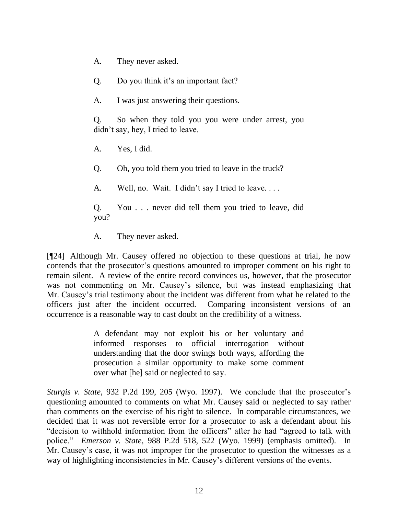- A. They never asked.
- Q. Do you think it's an important fact?
- A. I was just answering their questions.

Q. So when they told you you were under arrest, you didn't say, hey, I tried to leave.

- A. Yes, I did.
- Q. Oh, you told them you tried to leave in the truck?
- A. Well, no. Wait. I didn't say I tried to leave....
- Q. You . . . never did tell them you tried to leave, did you?
- A. They never asked.

[¶24] Although Mr. Causey offered no objection to these questions at trial, he now contends that the prosecutor's questions amounted to improper comment on his right to remain silent. A review of the entire record convinces us, however, that the prosecutor was not commenting on Mr. Causey's silence, but was instead emphasizing that Mr. Causey's trial testimony about the incident was different from what he related to the officers just after the incident occurred. Comparing inconsistent versions of an occurrence is a reasonable way to cast doubt on the credibility of a witness.

> A defendant may not exploit his or her voluntary and informed responses to official interrogation without understanding that the door swings both ways, affording the prosecution a similar opportunity to make some comment over what [he] said or neglected to say.

*Sturgis v. State*, 932 P.2d 199, 205 (Wyo. 1997). We conclude that the prosecutor's questioning amounted to comments on what Mr. Causey said or neglected to say rather than comments on the exercise of his right to silence. In comparable circumstances, we decided that it was not reversible error for a prosecutor to ask a defendant about his "decision to withhold information from the officers" after he had "agreed to talk with police." *Emerson v. State*, 988 P.2d 518, 522 (Wyo. 1999) (emphasis omitted). In Mr. Causey's case, it was not improper for the prosecutor to question the witnesses as a way of highlighting inconsistencies in Mr. Causey's different versions of the events.